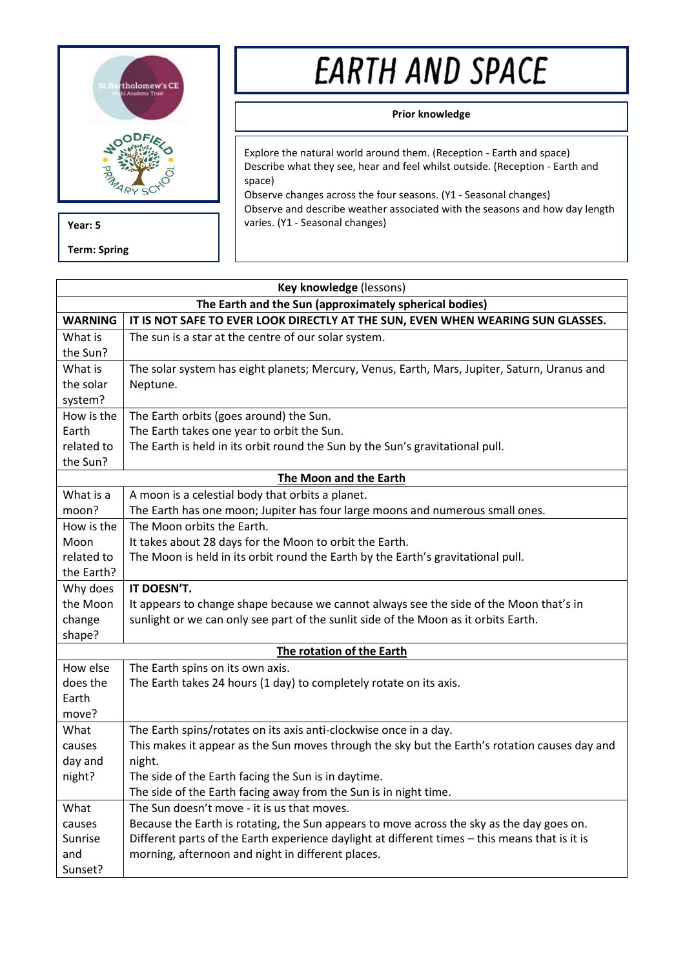

**Term: Spring**

# EARTH AND SPACE

# **Prior knowledge**

Explore the natural world around them. (Reception - Earth and space) Describe what they see, hear and feel whilst outside. (Reception - Earth and space)

Observe changes across the four seasons. (Y1 - Seasonal changes) Observe and describe weather associated with the seasons and how day length **Year: 5 varies.** (Y1 - Seasonal changes)

| Key knowledge (lessons)                                |                                                                                                                 |  |  |
|--------------------------------------------------------|-----------------------------------------------------------------------------------------------------------------|--|--|
| The Earth and the Sun (approximately spherical bodies) |                                                                                                                 |  |  |
| <b>WARNING</b>                                         | IT IS NOT SAFE TO EVER LOOK DIRECTLY AT THE SUN, EVEN WHEN WEARING SUN GLASSES.                                 |  |  |
| What is                                                | The sun is a star at the centre of our solar system.                                                            |  |  |
| the Sun?                                               |                                                                                                                 |  |  |
| What is                                                | The solar system has eight planets; Mercury, Venus, Earth, Mars, Jupiter, Saturn, Uranus and                    |  |  |
| the solar                                              | Neptune.                                                                                                        |  |  |
| system?                                                |                                                                                                                 |  |  |
| How is the                                             | The Earth orbits (goes around) the Sun.                                                                         |  |  |
| Earth                                                  | The Earth takes one year to orbit the Sun.                                                                      |  |  |
| related to                                             | The Earth is held in its orbit round the Sun by the Sun's gravitational pull.                                   |  |  |
| the Sun?                                               |                                                                                                                 |  |  |
| The Moon and the Earth                                 |                                                                                                                 |  |  |
| What is a                                              | A moon is a celestial body that orbits a planet.                                                                |  |  |
| moon?                                                  | The Earth has one moon; Jupiter has four large moons and numerous small ones.                                   |  |  |
| How is the                                             | The Moon orbits the Earth.                                                                                      |  |  |
| Moon                                                   | It takes about 28 days for the Moon to orbit the Earth.                                                         |  |  |
| related to                                             | The Moon is held in its orbit round the Earth by the Earth's gravitational pull.                                |  |  |
| the Earth?                                             |                                                                                                                 |  |  |
| Why does                                               | IT DOESN'T.                                                                                                     |  |  |
| the Moon                                               | It appears to change shape because we cannot always see the side of the Moon that's in                          |  |  |
| change                                                 | sunlight or we can only see part of the sunlit side of the Moon as it orbits Earth.                             |  |  |
| shape?                                                 |                                                                                                                 |  |  |
| The rotation of the Earth                              |                                                                                                                 |  |  |
| How else                                               | The Earth spins on its own axis.                                                                                |  |  |
| does the                                               | The Earth takes 24 hours (1 day) to completely rotate on its axis.                                              |  |  |
| Earth                                                  |                                                                                                                 |  |  |
| move?                                                  |                                                                                                                 |  |  |
| What                                                   | The Earth spins/rotates on its axis anti-clockwise once in a day.                                               |  |  |
| causes                                                 | This makes it appear as the Sun moves through the sky but the Earth's rotation causes day and                   |  |  |
| day and                                                | night.                                                                                                          |  |  |
| night?                                                 | The side of the Earth facing the Sun is in daytime.                                                             |  |  |
| What                                                   | The side of the Earth facing away from the Sun is in night time.<br>The Sun doesn't move - it is us that moves. |  |  |
|                                                        |                                                                                                                 |  |  |
| causes                                                 | Because the Earth is rotating, the Sun appears to move across the sky as the day goes on.                       |  |  |
| Sunrise                                                | Different parts of the Earth experience daylight at different times - this means that is it is                  |  |  |
| and                                                    | morning, afternoon and night in different places.                                                               |  |  |
| Sunset?                                                |                                                                                                                 |  |  |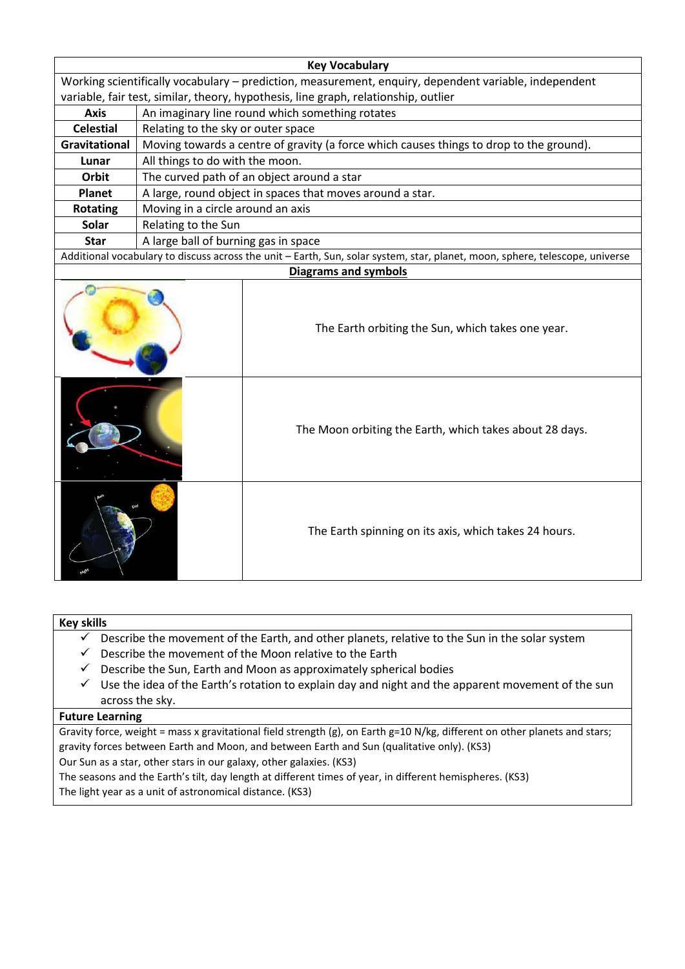| <b>Key Vocabulary</b>                                                                                                        |                                                                                         |                                                         |  |
|------------------------------------------------------------------------------------------------------------------------------|-----------------------------------------------------------------------------------------|---------------------------------------------------------|--|
| Working scientifically vocabulary - prediction, measurement, enquiry, dependent variable, independent                        |                                                                                         |                                                         |  |
| variable, fair test, similar, theory, hypothesis, line graph, relationship, outlier                                          |                                                                                         |                                                         |  |
| <b>Axis</b>                                                                                                                  | An imaginary line round which something rotates                                         |                                                         |  |
| <b>Celestial</b>                                                                                                             | Relating to the sky or outer space                                                      |                                                         |  |
| <b>Gravitational</b>                                                                                                         | Moving towards a centre of gravity (a force which causes things to drop to the ground). |                                                         |  |
| Lunar                                                                                                                        | All things to do with the moon.                                                         |                                                         |  |
| Orbit                                                                                                                        | The curved path of an object around a star                                              |                                                         |  |
| <b>Planet</b>                                                                                                                | A large, round object in spaces that moves around a star.                               |                                                         |  |
| <b>Rotating</b>                                                                                                              | Moving in a circle around an axis                                                       |                                                         |  |
| <b>Solar</b>                                                                                                                 | Relating to the Sun                                                                     |                                                         |  |
| <b>Star</b>                                                                                                                  | A large ball of burning gas in space                                                    |                                                         |  |
| Additional vocabulary to discuss across the unit - Earth, Sun, solar system, star, planet, moon, sphere, telescope, universe |                                                                                         |                                                         |  |
| <b>Diagrams and symbols</b>                                                                                                  |                                                                                         |                                                         |  |
|                                                                                                                              |                                                                                         | The Earth orbiting the Sun, which takes one year.       |  |
|                                                                                                                              |                                                                                         | The Moon orbiting the Earth, which takes about 28 days. |  |
|                                                                                                                              |                                                                                         | The Earth spinning on its axis, which takes 24 hours.   |  |

# **Key skills**

- $\checkmark$  Describe the movement of the Earth, and other planets, relative to the Sun in the solar system
- $\checkmark$  Describe the movement of the Moon relative to the Earth
- $\checkmark$  Describe the Sun, Earth and Moon as approximately spherical bodies
- $\checkmark$  Use the idea of the Earth's rotation to explain day and night and the apparent movement of the sun across the sky.

#### **Future Learning**

Gravity force, weight = mass x gravitational field strength (g), on Earth g=10 N/kg, different on other planets and stars; gravity forces between Earth and Moon, and between Earth and Sun (qualitative only). (KS3)

Our Sun as a star, other stars in our galaxy, other galaxies. (KS3)

The seasons and the Earth's tilt, day length at different times of year, in different hemispheres. (KS3)

The light year as a unit of astronomical distance. (KS3)